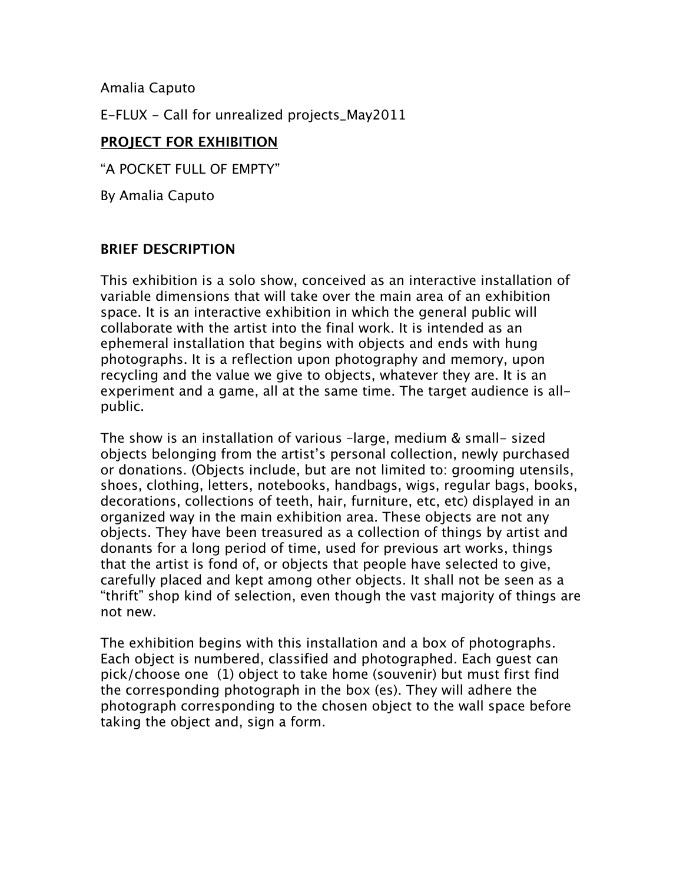Amalia Caputo

E-FLUX - Call for unrealized projects\_May2011

# **PROJECT FOR EXHIBITION**

"A POCKET FULL OF EMPTY"

By Amalia Caputo

### **BRIEF DESCRIPTION**

This exhibition is a solo show, conceived as an interactive installation of variable dimensions that will take over the main area of an exhibition space. It is an interactive exhibition in which the general public will collaborate with the artist into the final work. It is intended as an ephemeral installation that begins with objects and ends with hung photographs. It is a reflection upon photography and memory, upon recycling and the value we give to objects, whatever they are. It is an experiment and a game, all at the same time. The target audience is allpublic.

The show is an installation of various –large, medium & small- sized objects belonging from the artist's personal collection, newly purchased or donations. (Objects include, but are not limited to: grooming utensils, shoes, clothing, letters, notebooks, handbags, wigs, regular bags, books, decorations, collections of teeth, hair, furniture, etc, etc) displayed in an organized way in the main exhibition area. These objects are not any objects. They have been treasured as a collection of things by artist and donants for a long period of time, used for previous art works, things that the artist is fond of, or objects that people have selected to give, carefully placed and kept among other objects. It shall not be seen as a "thrift" shop kind of selection, even though the vast majority of things are not new.

The exhibition begins with this installation and a box of photographs. Each object is numbered, classified and photographed. Each guest can pick/choose one (1) object to take home (souvenir) but must first find the corresponding photograph in the box (es). They will adhere the photograph corresponding to the chosen object to the wall space before taking the object and, sign a form.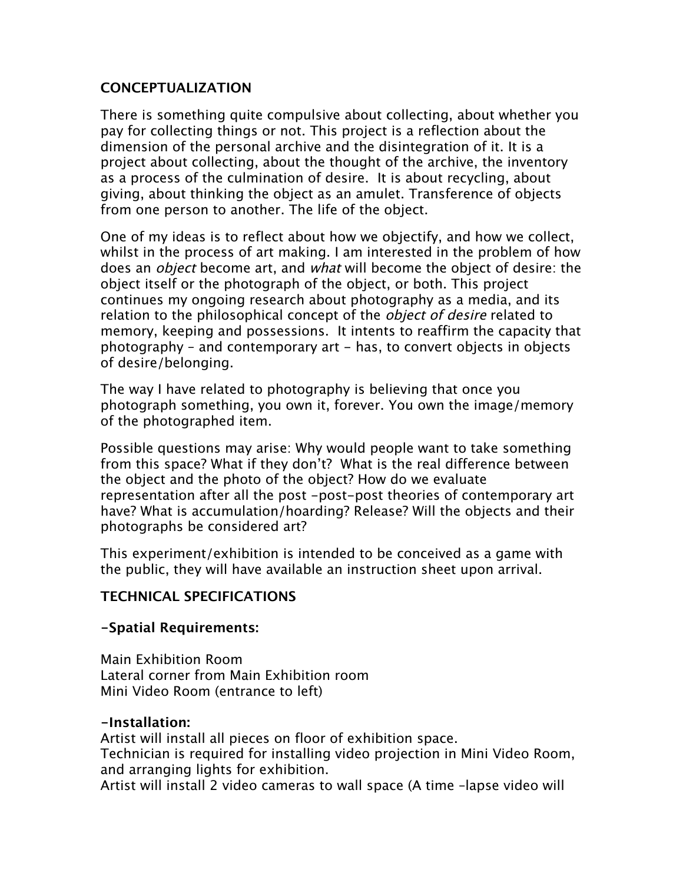### **CONCEPTUALIZATION**

There is something quite compulsive about collecting, about whether you pay for collecting things or not. This project is a reflection about the dimension of the personal archive and the disintegration of it. It is a project about collecting, about the thought of the archive, the inventory as a process of the culmination of desire. It is about recycling, about giving, about thinking the object as an amulet. Transference of objects from one person to another. The life of the object.

One of my ideas is to reflect about how we objectify, and how we collect, whilst in the process of art making. I am interested in the problem of how does an *object* become art, and *what* will become the object of desire: the object itself or the photograph of the object, or both. This project continues my ongoing research about photography as a media, and its relation to the philosophical concept of the *object of desire* related to memory, keeping and possessions. It intents to reaffirm the capacity that photography – and contemporary art - has, to convert objects in objects of desire/belonging.

The way I have related to photography is believing that once you photograph something, you own it, forever. You own the image/memory of the photographed item.

Possible questions may arise: Why would people want to take something from this space? What if they don't? What is the real difference between the object and the photo of the object? How do we evaluate representation after all the post -post-post theories of contemporary art have? What is accumulation/hoarding? Release? Will the objects and their photographs be considered art?

This experiment/exhibition is intended to be conceived as a game with the public, they will have available an instruction sheet upon arrival.

# **TECHNICAL SPECIFICATIONS**

### **-Spatial Requirements:**

Main Exhibition Room Lateral corner from Main Exhibition room Mini Video Room (entrance to left)

### **-Installation:**

Artist will install all pieces on floor of exhibition space. Technician is required for installing video projection in Mini Video Room, and arranging lights for exhibition. Artist will install 2 video cameras to wall space (A time –lapse video will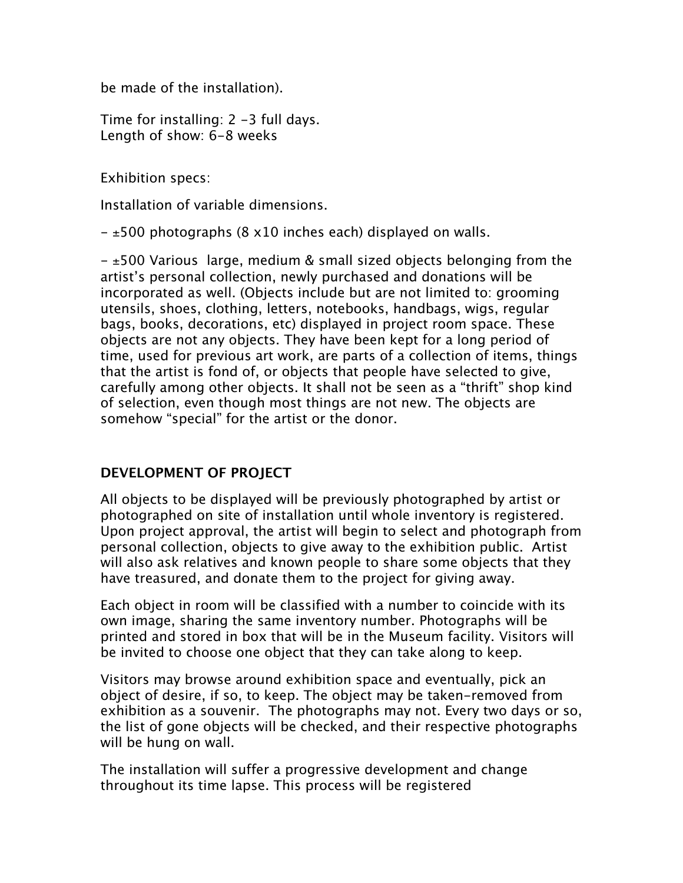be made of the installation).

Time for installing: 2 -3 full days. Length of show: 6-8 weeks

Exhibition specs:

Installation of variable dimensions.

 $\pm$ 500 photographs (8 x10 inches each) displayed on walls.

 $\pm$ 500 Various large, medium & small sized objects belonging from the artist's personal collection, newly purchased and donations will be incorporated as well. (Objects include but are not limited to: grooming utensils, shoes, clothing, letters, notebooks, handbags, wigs, regular bags, books, decorations, etc) displayed in project room space. These objects are not any objects. They have been kept for a long period of time, used for previous art work, are parts of a collection of items, things that the artist is fond of, or objects that people have selected to give, carefully among other objects. It shall not be seen as a "thrift" shop kind of selection, even though most things are not new. The objects are somehow "special" for the artist or the donor.

### **DEVELOPMENT OF PROJECT**

All objects to be displayed will be previously photographed by artist or photographed on site of installation until whole inventory is registered. Upon project approval, the artist will begin to select and photograph from personal collection, objects to give away to the exhibition public. Artist will also ask relatives and known people to share some objects that they have treasured, and donate them to the project for giving away.

Each object in room will be classified with a number to coincide with its own image, sharing the same inventory number. Photographs will be printed and stored in box that will be in the Museum facility. Visitors will be invited to choose one object that they can take along to keep.

Visitors may browse around exhibition space and eventually, pick an object of desire, if so, to keep. The object may be taken-removed from exhibition as a souvenir. The photographs may not. Every two days or so, the list of gone objects will be checked, and their respective photographs will be hung on wall.

The installation will suffer a progressive development and change throughout its time lapse. This process will be registered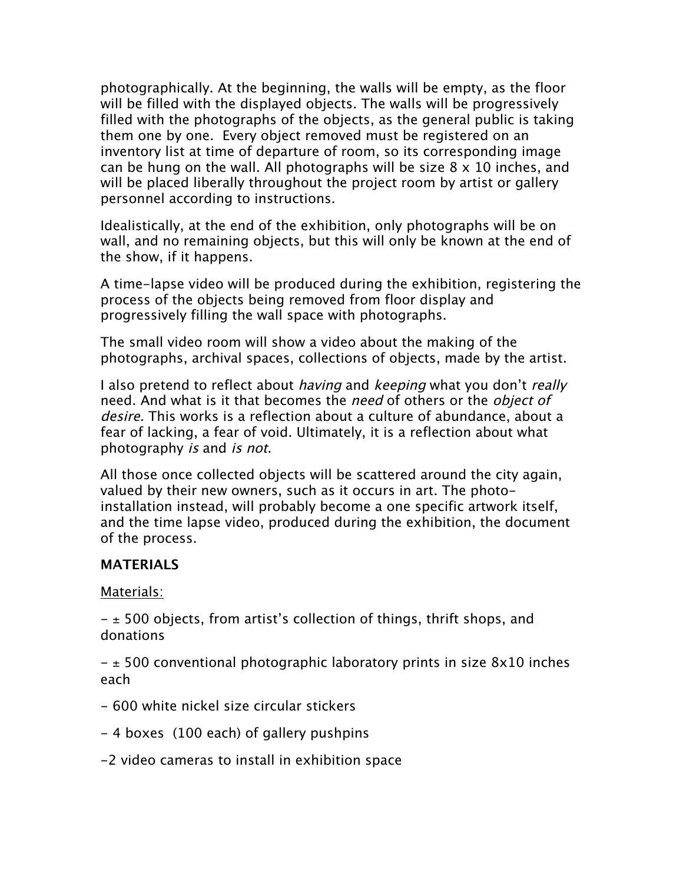photographically. At the beginning, the walls will be empty, as the floor will be filled with the displayed objects. The walls will be progressively filled with the photographs of the objects, as the general public is taking them one by one. Every object removed must be registered on an inventory list at time of departure of room, so its corresponding image can be hung on the wall. All photographs will be size 8 x 10 inches, and will be placed liberally throughout the project room by artist or gallery personnel according to instructions.

Idealistically, at the end of the exhibition, only photographs will be on wall, and no remaining objects, but this will only be known at the end of the show, if it happens.

A time-lapse video will be produced during the exhibition, registering the process of the objects being removed from floor display and progressively filling the wall space with photographs.

The small video room will show a video about the making of the photographs, archival spaces, collections of objects, made by the artist.

I also pretend to reflect about *having* and *keeping* what you don't *really* need. And what is it that becomes the need of others or the *object of* desire. This works is a reflection about a culture of abundance, about a fear of lacking, a fear of void. Ultimately, it is a reflection about what photography is and is not.

All those once collected objects will be scattered around the city again, valued by their new owners, such as it occurs in art. The photoinstallation instead, will probably become a one specific artwork itself, and the time lapse video, produced during the exhibition, the document of the process.

### **MATERIALS**

Materials:

 $\pm$  500 objects, from artist's collection of things, thrift shops, and donations

 $\pm$  500 conventional photographic laboratory prints in size 8x10 inches each

- 600 white nickel size circular stickers
- 4 boxes (100 each) of gallery pushpins
- -2 video cameras to install in exhibition space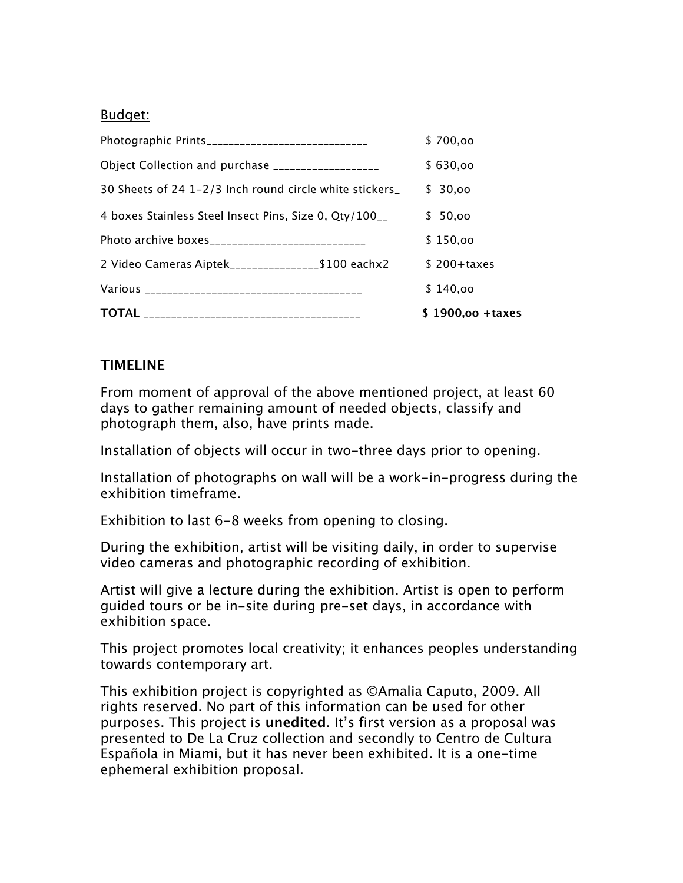#### Budget:

|                                                         |  | $$1900,00 + taxes$ |
|---------------------------------------------------------|--|--------------------|
|                                                         |  | \$140,00           |
| 2 Video Cameras Aiptek_________________\$100 eachx2     |  | $$200+taxes$       |
|                                                         |  | \$150,00           |
| 4 boxes Stainless Steel Insect Pins, Size 0, Qty/100__  |  | \$50,00            |
| 30 Sheets of 24 1-2/3 Inch round circle white stickers_ |  | \$30,00            |
| Object Collection and purchase ___________________      |  | \$630,00           |
| Photographic Prints______________________________       |  | \$700,00           |

# **TIMELINE**

From moment of approval of the above mentioned project, at least 60 days to gather remaining amount of needed objects, classify and photograph them, also, have prints made.

Installation of objects will occur in two-three days prior to opening.

Installation of photographs on wall will be a work-in-progress during the exhibition timeframe.

Exhibition to last 6-8 weeks from opening to closing.

During the exhibition, artist will be visiting daily, in order to supervise video cameras and photographic recording of exhibition.

Artist will give a lecture during the exhibition. Artist is open to perform guided tours or be in-site during pre-set days, in accordance with exhibition space.

This project promotes local creativity; it enhances peoples understanding towards contemporary art.

This exhibition project is copyrighted as ©Amalia Caputo, 2009. All rights reserved. No part of this information can be used for other purposes. This project is **unedited**. It's first version as a proposal was presented to De La Cruz collection and secondly to Centro de Cultura Española in Miami, but it has never been exhibited. It is a one-time ephemeral exhibition proposal.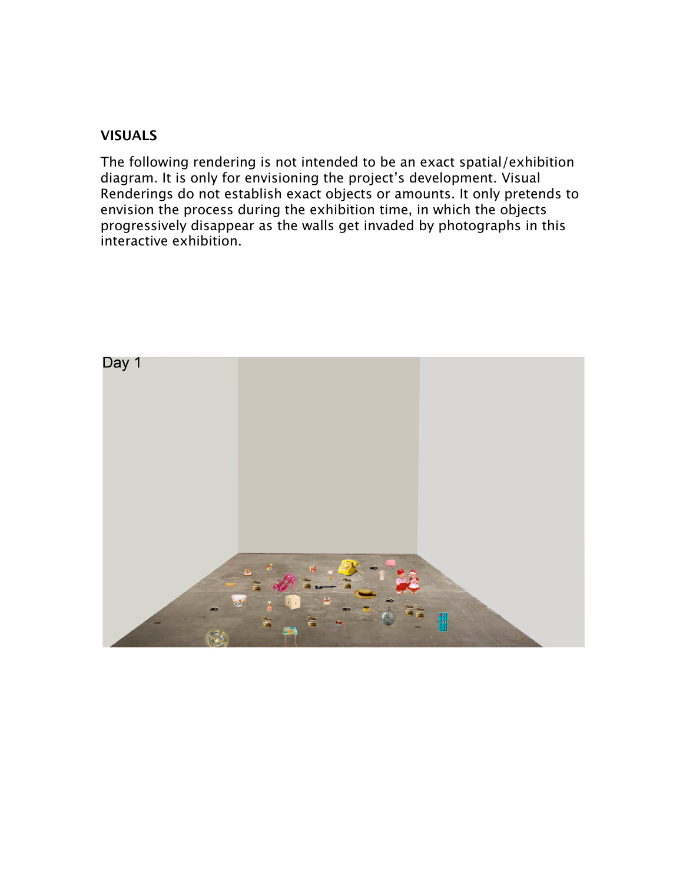#### **VISUALS**

The following rendering is not intended to be an exact spatial/exhibition diagram. It is only for envisioning the project's development. Visual Renderings do not establish exact objects or amounts. It only pretends to envision the process during the exhibition time, in which the objects progressively disappear as the walls get invaded by photographs in this interactive exhibition.

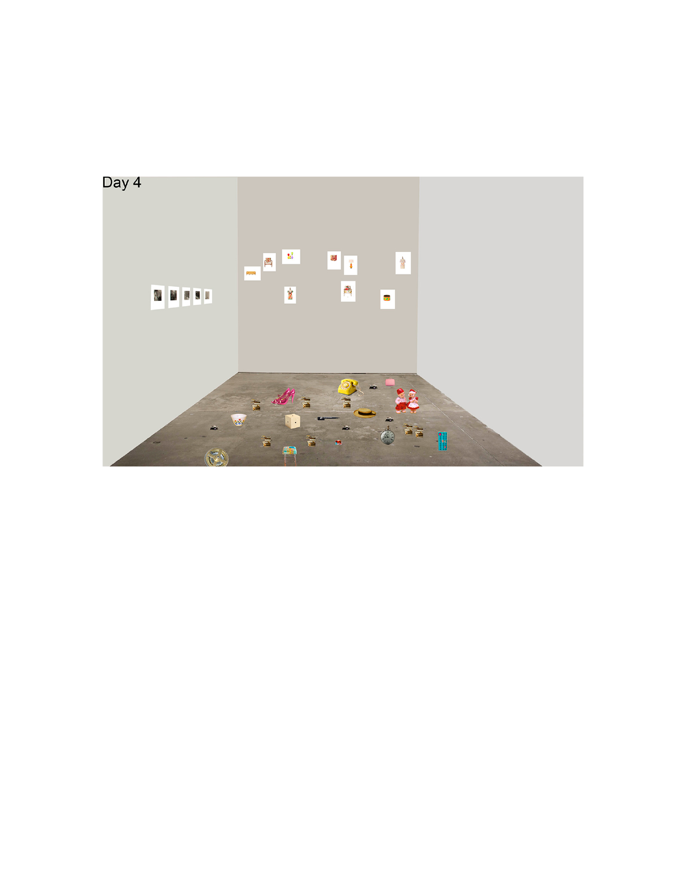